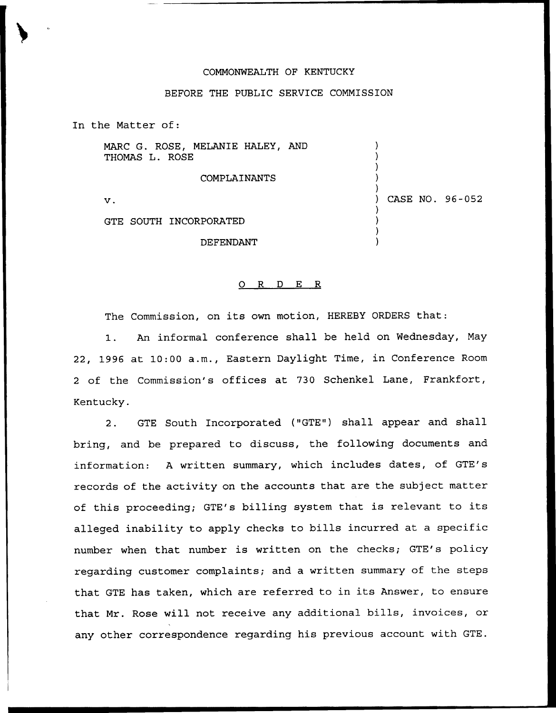## COMMONWEALTH OF KENTUCKY

## BEFORE THE PUBLIC SERVICE COMMISSION

In the Matter of:

MARC G. ROSE, MELANIE HALEY, AND THOMAS L. ROSE

COMPLAINANTS

v.

) CASE NO. 96-052

) ) ) ) )

) ) ) )

GTE SOUTH INCORPORATED

DEFENDANT

## 0 R <sup>D</sup> E R

The Commission, on its own motion, HEREBY ORDERS that:

1. An informal conference shall be held on Wednesday, May 22, 1996 at 10:00 a.m., Eastern Daylight Time, in Conference Room <sup>2</sup> of the Commission's offices at 730 Schenkel Lane, Frankfort, Kentucky.

2. GTE South Incorporated ("GTE") shall appear and shall bring, and be prepared to discuss, the following documents and information: <sup>A</sup> written summary, which includes dates, of GTE's records of the activity on the accounts that are the subject matter of this proceeding; GTE's billing system that is relevant to its alleged inability to apply checks to bills incurred at a specific number when that number is written on the checks; GTE's policy regarding customer complaints; and a written summary of the steps that GTE has taken, which are referred to in its Answer, to ensure that Mr. Rose will not receive any additional bills, invoices, or any other correspondence regarding his previous account with GTE.